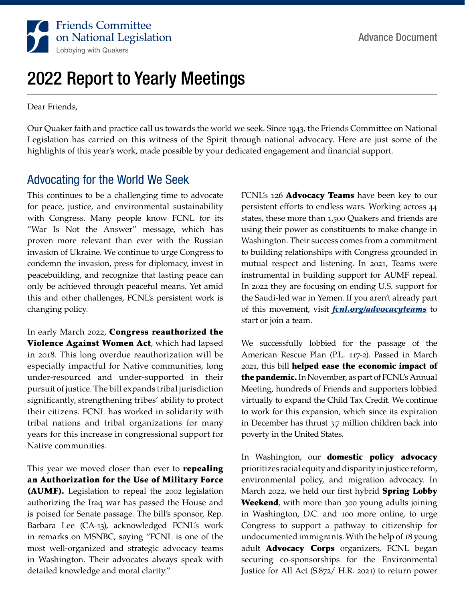

## 2022 Report to Yearly Meetings

Dear Friends,

Our Quaker faith and practice call us towards the world we seek. Since 1943, the Friends Committee on National Legislation has carried on this witness of the Spirit through national advocacy. Here are just some of the highlights of this year's work, made possible by your dedicated engagement and financial support.

## Advocating for the World We Seek

This continues to be a challenging time to advocate for peace, justice, and environmental sustainability with Congress. Many people know FCNL for its "War Is Not the Answer" message, which has proven more relevant than ever with the Russian invasion of Ukraine. We continue to urge Congress to condemn the invasion, press for diplomacy, invest in peacebuilding, and recognize that lasting peace can only be achieved through peaceful means. Yet amid this and other challenges, FCNL's persistent work is changing policy.

In early March 2022, Congress reauthorized the Violence Against Women Act, which had lapsed in 2018. This long overdue reauthorization will be especially impactful for Native communities, long under-resourced and under-supported in their pursuit of justice. The bill expands tribal jurisdiction significantly, strengthening tribes' ability to protect their citizens. FCNL has worked in solidarity with tribal nations and tribal organizations for many years for this increase in congressional support for Native communities.

This year we moved closer than ever to repealing an Authorization for the Use of Military Force (AUMF). Legislation to repeal the 2002 legislation authorizing the Iraq war has passed the House and is poised for Senate passage. The bill's sponsor, Rep. Barbara Lee (CA-13), acknowledged FCNL's work in remarks on MSNBC, saying "FCNL is one of the most well-organized and strategic advocacy teams in Washington. Their advocates always speak with detailed knowledge and moral clarity."

FCNL's 126 **Advocacy Teams** have been key to our persistent efforts to endless wars. Working across 44 states, these more than 1,500 Quakers and friends are using their power as constituents to make change in Washington. Their success comes from a commitment to building relationships with Congress grounded in mutual respect and listening. In 2021, Teams were instrumental in building support for AUMF repeal. In 2022 they are focusing on ending U.S. support for the Saudi-led war in Yemen. If you aren't already part of this movement, visit *fcnl.org/advocacyteams* to start or join a team.

We successfully lobbied for the passage of the American Rescue Plan (P.L. 117-2). Passed in March 2021, this bill helped ease the economic impact of the pandemic. In November, as part of FCNL's Annual Meeting, hundreds of Friends and supporters lobbied virtually to expand the Child Tax Credit. We continue to work for this expansion, which since its expiration in December has thrust 3.7 million children back into poverty in the United States.

In Washington, our domestic policy advocacy prioritizes racial equity and disparity in justice reform, environmental policy, and migration advocacy. In March 2022, we held our first hybrid **Spring Lobby** Weekend, with more than 300 young adults joining in Washington, D.C. and 100 more online, to urge Congress to support a pathway to citizenship for undocumented immigrants. With the help of 18 young adult **Advocacy Corps** organizers, FCNL began securing co-sponsorships for the Environmental Justice for All Act (S.872/ H.R. 2021) to return power